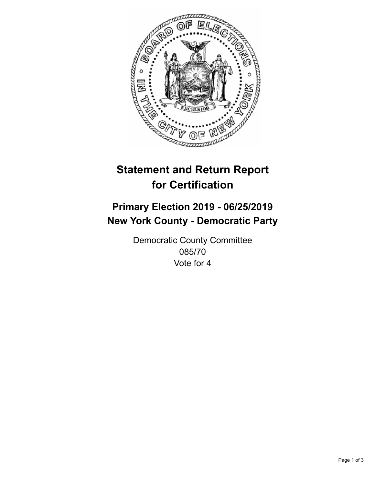

## **Statement and Return Report for Certification**

## **Primary Election 2019 - 06/25/2019 New York County - Democratic Party**

Democratic County Committee 085/70 Vote for 4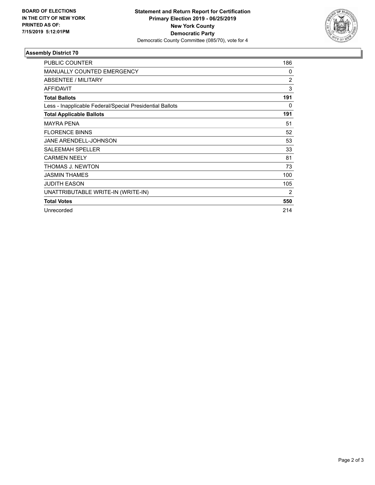

## **Assembly District 70**

| <b>PUBLIC COUNTER</b>                                    | 186            |
|----------------------------------------------------------|----------------|
| <b>MANUALLY COUNTED EMERGENCY</b>                        | 0              |
| ABSENTEE / MILITARY                                      | 2              |
| <b>AFFIDAVIT</b>                                         | 3              |
| <b>Total Ballots</b>                                     | 191            |
| Less - Inapplicable Federal/Special Presidential Ballots | 0              |
| <b>Total Applicable Ballots</b>                          | 191            |
| <b>MAYRA PENA</b>                                        | 51             |
| <b>FLORENCE BINNS</b>                                    | 52             |
| <b>JANE ARENDELL-JOHNSON</b>                             | 53             |
| <b>SALEEMAH SPELLER</b>                                  | 33             |
| <b>CARMEN NEELY</b>                                      | 81             |
| THOMAS J. NEWTON                                         | 73             |
| <b>JASMIN THAMES</b>                                     | 100            |
| <b>JUDITH EASON</b>                                      | 105            |
| UNATTRIBUTABLE WRITE-IN (WRITE-IN)                       | $\overline{2}$ |
| <b>Total Votes</b>                                       | 550            |
| Unrecorded                                               | 214            |